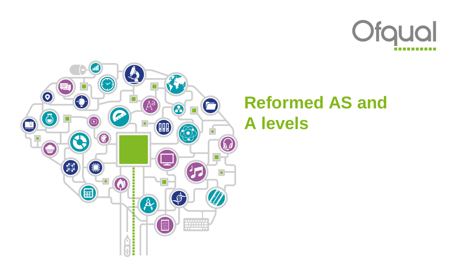



# **Reformed AS and A levels**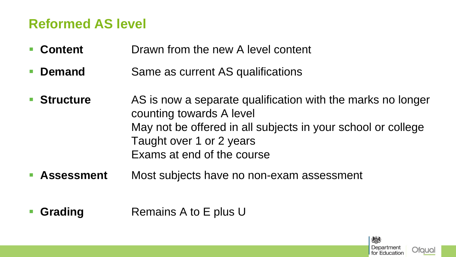#### **Reformed AS level**

- **Content** Drawn from the new A level content
- **Demand** Same as current AS qualifications
- **Structure** AS is now a separate qualification with the marks no longer counting towards A level May not be offered in all subjects in your school or college Taught over 1 or 2 years Exams at end of the course
- **Assessment** Most subjects have no non-exam assessment
- **Grading** Remains A to E plus U

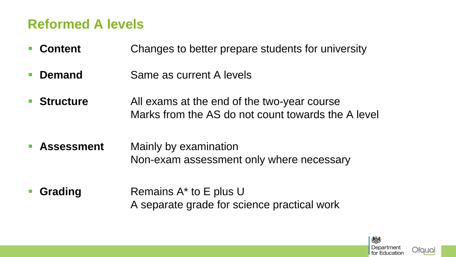#### **Reformed A levels**

- **Content** Changes to better prepare students for university
- **Demand** Same as current A levels
- **Structure** All exams at the end of the two-year course Marks from the AS do not count towards the A level
- **Assessment** Mainly by examination Non-exam assessment only where necessary
- **Grading** Remains A<sup>\*</sup> to E plus U A separate grade for science practical work

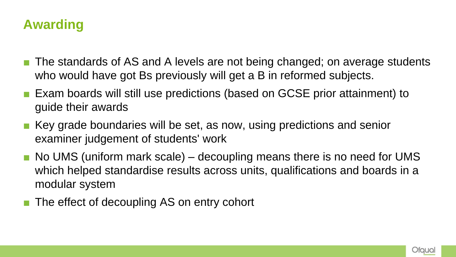### **Awarding**

- The standards of AS and A levels are not being changed; on average students who would have got Bs previously will get a B in reformed subjects.
- Exam boards will still use predictions (based on GCSE prior attainment) to guide their awards
- Key grade boundaries will be set, as now, using predictions and senior examiner judgement of students' work
- $\blacksquare$  No UMS (uniform mark scale) decoupling means there is no need for UMS which helped standardise results across units, qualifications and boards in a modular system
- The effect of decoupling AS on entry cohort